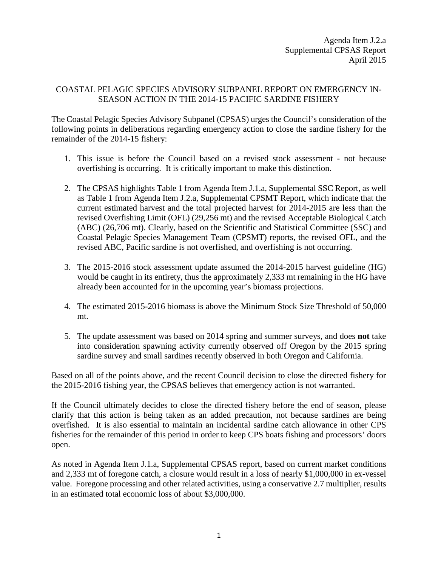Agenda Item J.2.a Supplemental CPSAS Report April 2015

## COASTAL PELAGIC SPECIES ADVISORY SUBPANEL REPORT ON EMERGENCY IN-SEASON ACTION IN THE 2014-15 PACIFIC SARDINE FISHERY

The Coastal Pelagic Species Advisory Subpanel (CPSAS) urges the Council's consideration of the following points in deliberations regarding emergency action to close the sardine fishery for the remainder of the 2014-15 fishery:

- 1. This issue is before the Council based on a revised stock assessment not because overfishing is occurring. It is critically important to make this distinction.
- 2. The CPSAS highlights Table 1 from Agenda Item J.1.a, Supplemental SSC Report, as well as Table 1 from Agenda Item J.2.a, Supplemental CPSMT Report, which indicate that the current estimated harvest and the total projected harvest for 2014-2015 are less than the revised Overfishing Limit (OFL) (29,256 mt) and the revised Acceptable Biological Catch (ABC) (26,706 mt). Clearly, based on the Scientific and Statistical Committee (SSC) and Coastal Pelagic Species Management Team (CPSMT) reports, the revised OFL, and the revised ABC, Pacific sardine is not overfished, and overfishing is not occurring.
- 3. The 2015-2016 stock assessment update assumed the 2014-2015 harvest guideline (HG) would be caught in its entirety, thus the approximately 2,333 mt remaining in the HG have already been accounted for in the upcoming year's biomass projections.
- 4. The estimated 2015-2016 biomass is above the Minimum Stock Size Threshold of 50,000 mt.
- 5. The update assessment was based on 2014 spring and summer surveys, and does **not** take into consideration spawning activity currently observed off Oregon by the 2015 spring sardine survey and small sardines recently observed in both Oregon and California.

Based on all of the points above, and the recent Council decision to close the directed fishery for the 2015-2016 fishing year, the CPSAS believes that emergency action is not warranted.

If the Council ultimately decides to close the directed fishery before the end of season, please clarify that this action is being taken as an added precaution, not because sardines are being overfished. It is also essential to maintain an incidental sardine catch allowance in other CPS fisheries for the remainder of this period in order to keep CPS boats fishing and processors' doors open.

As noted in Agenda Item J.1.a, Supplemental CPSAS report, based on current market conditions and 2,333 mt of foregone catch, a closure would result in a loss of nearly \$1,000,000 in ex-vessel value. Foregone processing and other related activities, using a conservative 2.7 multiplier, results in an estimated total economic loss of about \$3,000,000.